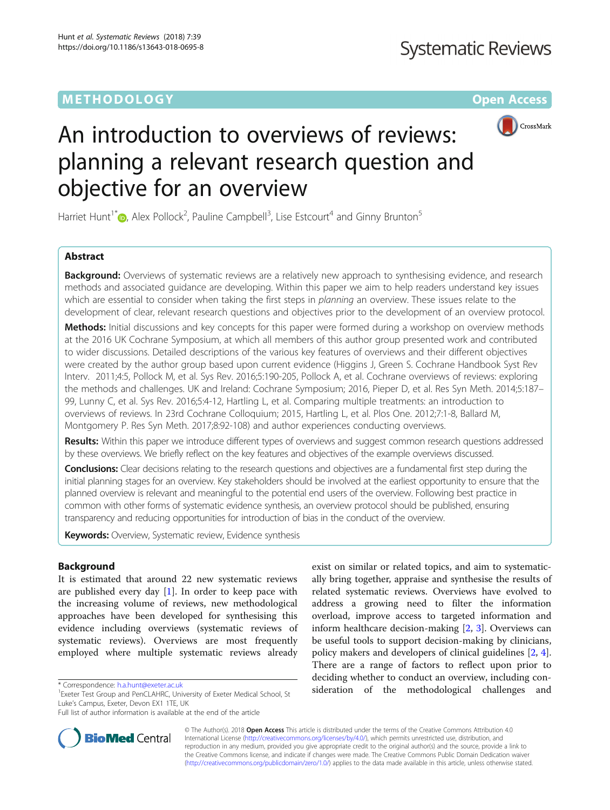## **METHODOLOGY CONSUMING ACCESS CONSUMING ACCESS**



# An introduction to overviews of reviews: planning a relevant research question and objective for an overview

Harriet Hunt<sup>1\*</sup>®[,](http://orcid.org/0000-0003-1254-0568) Alex Pollock<sup>2</sup>, Pauline Campbell<sup>3</sup>, Lise Estcourt<sup>4</sup> and Ginny Brunton<sup>5</sup>

## Abstract

Background: Overviews of systematic reviews are a relatively new approach to synthesising evidence, and research methods and associated guidance are developing. Within this paper we aim to help readers understand key issues which are essential to consider when taking the first steps in planning an overview. These issues relate to the development of clear, relevant research questions and objectives prior to the development of an overview protocol.

Methods: Initial discussions and key concepts for this paper were formed during a workshop on overview methods at the 2016 UK Cochrane Symposium, at which all members of this author group presented work and contributed to wider discussions. Detailed descriptions of the various key features of overviews and their different objectives were created by the author group based upon current evidence (Higgins J, Green S. Cochrane Handbook Syst Rev Interv. 2011;4:5, Pollock M, et al. Sys Rev. 2016;5:190-205, Pollock A, et al. Cochrane overviews of reviews: exploring the methods and challenges. UK and Ireland: Cochrane Symposium; 2016, Pieper D, et al. Res Syn Meth. 2014;5:187– 99, Lunny C, et al. Sys Rev. 2016;5:4-12, Hartling L, et al. Comparing multiple treatments: an introduction to overviews of reviews. In 23rd Cochrane Colloquium; 2015, Hartling L, et al. Plos One. 2012;7:1-8, Ballard M, Montgomery P. Res Syn Meth. 2017;8:92-108) and author experiences conducting overviews.

Results: Within this paper we introduce different types of overviews and suggest common research questions addressed by these overviews. We briefly reflect on the key features and objectives of the example overviews discussed.

Conclusions: Clear decisions relating to the research questions and objectives are a fundamental first step during the initial planning stages for an overview. Key stakeholders should be involved at the earliest opportunity to ensure that the planned overview is relevant and meaningful to the potential end users of the overview. Following best practice in common with other forms of systematic evidence synthesis, an overview protocol should be published, ensuring transparency and reducing opportunities for introduction of bias in the conduct of the overview.

Keywords: Overview, Systematic review, Evidence synthesis

## Background

It is estimated that around 22 new systematic reviews are published every day [[1\]](#page-7-0). In order to keep pace with the increasing volume of reviews, new methodological approaches have been developed for synthesising this evidence including overviews (systematic reviews of systematic reviews). Overviews are most frequently employed where multiple systematic reviews already

<sup>1</sup> Exeter Test Group and PenCLAHRC, University of Exeter Medical School, St Luke's Campus, Exeter, Devon EX1 1TE, UK

exist on similar or related topics, and aim to systematically bring together, appraise and synthesise the results of related systematic reviews. Overviews have evolved to address a growing need to filter the information overload, improve access to targeted information and inform healthcare decision-making [[2,](#page-7-0) [3\]](#page-7-0). Overviews can be useful tools to support decision-making by clinicians, policy makers and developers of clinical guidelines [\[2](#page-7-0), [4](#page-7-0)]. There are a range of factors to reflect upon prior to deciding whether to conduct an overview, including consideration of the methodological challenges and \* Correspondence: [h.a.hunt@exeter.ac.uk](mailto:h.a.hunt@exeter.ac.uk) <sup>1</sup>



© The Author(s). 2018 Open Access This article is distributed under the terms of the Creative Commons Attribution 4.0 International License [\(http://creativecommons.org/licenses/by/4.0/](http://creativecommons.org/licenses/by/4.0/)), which permits unrestricted use, distribution, and reproduction in any medium, provided you give appropriate credit to the original author(s) and the source, provide a link to the Creative Commons license, and indicate if changes were made. The Creative Commons Public Domain Dedication waiver [\(http://creativecommons.org/publicdomain/zero/1.0/](http://creativecommons.org/publicdomain/zero/1.0/)) applies to the data made available in this article, unless otherwise stated.

Full list of author information is available at the end of the article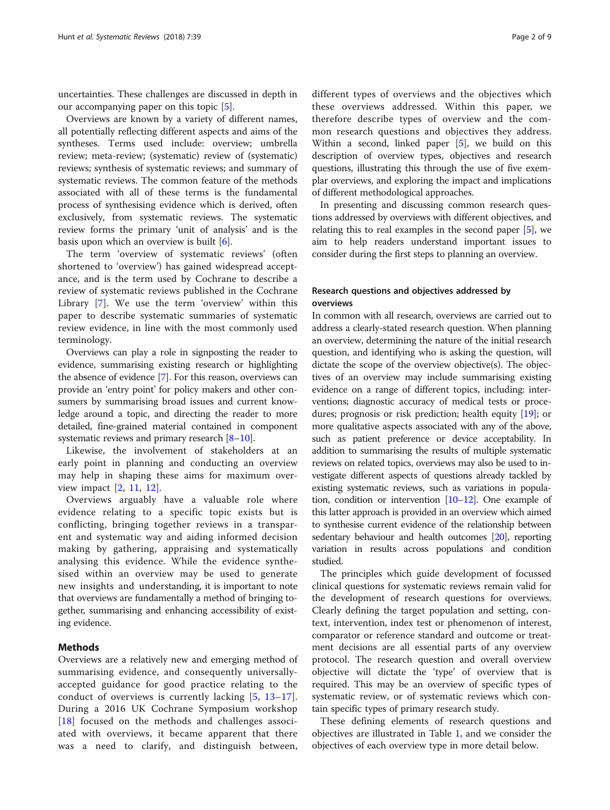uncertainties. These challenges are discussed in depth in our accompanying paper on this topic [[5\]](#page-7-0).

Overviews are known by a variety of different names, all potentially reflecting different aspects and aims of the syntheses. Terms used include: overview; umbrella review; meta-review; (systematic) review of (systematic) reviews; synthesis of systematic reviews; and summary of systematic reviews. The common feature of the methods associated with all of these terms is the fundamental process of synthesising evidence which is derived, often exclusively, from systematic reviews. The systematic review forms the primary 'unit of analysis' and is the basis upon which an overview is built [[6\]](#page-7-0).

The term 'overview of systematic reviews' (often shortened to 'overview') has gained widespread acceptance, and is the term used by Cochrane to describe a review of systematic reviews published in the Cochrane Library [[7\]](#page-7-0). We use the term 'overview' within this paper to describe systematic summaries of systematic review evidence, in line with the most commonly used terminology.

Overviews can play a role in signposting the reader to evidence, summarising existing research or highlighting the absence of evidence [\[7\]](#page-7-0). For this reason, overviews can provide an 'entry point' for policy makers and other consumers by summarising broad issues and current knowledge around a topic, and directing the reader to more detailed, fine-grained material contained in component systematic reviews and primary research  $[8-10]$  $[8-10]$  $[8-10]$  $[8-10]$ .

Likewise, the involvement of stakeholders at an early point in planning and conducting an overview may help in shaping these aims for maximum overview impact [[2,](#page-7-0) [11](#page-7-0), [12](#page-7-0)].

Overviews arguably have a valuable role where evidence relating to a specific topic exists but is conflicting, bringing together reviews in a transparent and systematic way and aiding informed decision making by gathering, appraising and systematically analysing this evidence. While the evidence synthesised within an overview may be used to generate new insights and understanding, it is important to note that overviews are fundamentally a method of bringing together, summarising and enhancing accessibility of existing evidence.

## Methods

Overviews are a relatively new and emerging method of summarising evidence, and consequently universallyaccepted guidance for good practice relating to the conduct of overviews is currently lacking [[5,](#page-7-0) [13](#page-7-0)–[17](#page-7-0)]. During a 2016 UK Cochrane Symposium workshop [[18](#page-7-0)] focused on the methods and challenges associated with overviews, it became apparent that there was a need to clarify, and distinguish between,

different types of overviews and the objectives which these overviews addressed. Within this paper, we therefore describe types of overview and the common research questions and objectives they address. Within a second, linked paper [[5\]](#page-7-0), we build on this description of overview types, objectives and research questions, illustrating this through the use of five exemplar overviews, and exploring the impact and implications of different methodological approaches.

In presenting and discussing common research questions addressed by overviews with different objectives, and relating this to real examples in the second paper [\[5\]](#page-7-0), we aim to help readers understand important issues to consider during the first steps to planning an overview.

## Research questions and objectives addressed by overviews

In common with all research, overviews are carried out to address a clearly-stated research question. When planning an overview, determining the nature of the initial research question, and identifying who is asking the question, will dictate the scope of the overview objective(s). The objectives of an overview may include summarising existing evidence on a range of different topics, including: interventions; diagnostic accuracy of medical tests or procedures; prognosis or risk prediction; health equity [\[19\]](#page-7-0); or more qualitative aspects associated with any of the above, such as patient preference or device acceptability. In addition to summarising the results of multiple systematic reviews on related topics, overviews may also be used to investigate different aspects of questions already tackled by existing systematic reviews, such as variations in population, condition or intervention [[10](#page-7-0)–[12](#page-7-0)]. One example of this latter approach is provided in an overview which aimed to synthesise current evidence of the relationship between sedentary behaviour and health outcomes [\[20\]](#page-7-0), reporting variation in results across populations and condition studied.

The principles which guide development of focussed clinical questions for systematic reviews remain valid for the development of research questions for overviews. Clearly defining the target population and setting, context, intervention, index test or phenomenon of interest, comparator or reference standard and outcome or treatment decisions are all essential parts of any overview protocol. The research question and overall overview objective will dictate the 'type' of overview that is required. This may be an overview of specific types of systematic review, or of systematic reviews which contain specific types of primary research study.

These defining elements of research questions and objectives are illustrated in Table [1](#page-2-0), and we consider the objectives of each overview type in more detail below.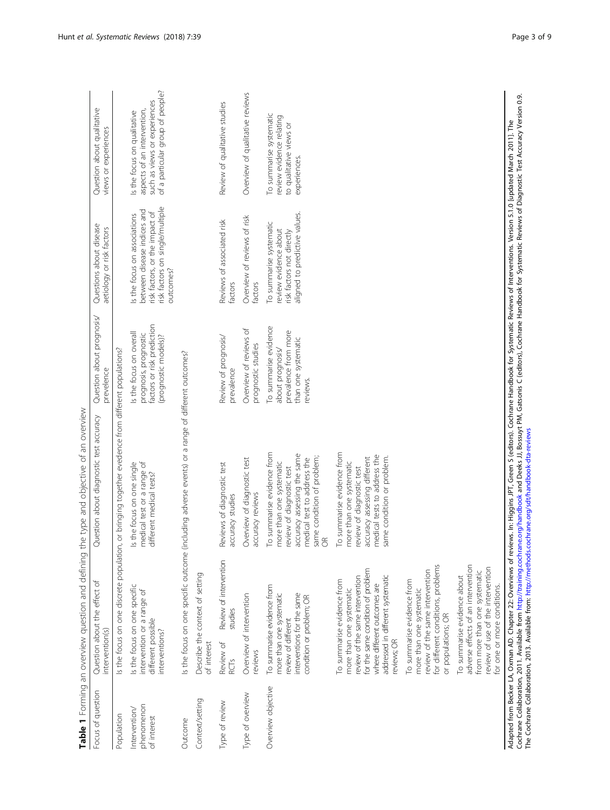<span id="page-2-0"></span>

|                                            |                                                                                                                                                                                                                   | <b>CONSIDERATION CONSIDERATION CONSIDERATION CONSIDERATION CONSIDERATION CONSIDERATION CONSIDERATION CONSIDERATION</b>                                                                                     |                                                                                                        |                                                                                                                                               |                                                                                                                                |
|--------------------------------------------|-------------------------------------------------------------------------------------------------------------------------------------------------------------------------------------------------------------------|------------------------------------------------------------------------------------------------------------------------------------------------------------------------------------------------------------|--------------------------------------------------------------------------------------------------------|-----------------------------------------------------------------------------------------------------------------------------------------------|--------------------------------------------------------------------------------------------------------------------------------|
| Focus of question                          | Question about the effect of<br>intervention(s)                                                                                                                                                                   | Question about diagnostic test accuracy                                                                                                                                                                    | Question about prognosis/<br>prevelence                                                                | Questions about disease<br>aetiology or risk factors                                                                                          | Question about qualitative<br>views or experiences                                                                             |
| Population                                 |                                                                                                                                                                                                                   | Is the focus on one discrete population, or bringing together evedence from different populations?                                                                                                         |                                                                                                        |                                                                                                                                               |                                                                                                                                |
| phenomenon<br>Intervention/<br>of interest | Is the focus on one specific<br>intervention or a range of<br>different possible<br>interventions?                                                                                                                | Is the focus on one single<br>medical test or a range of<br>different medical tests?                                                                                                                       | factors or risk prediction<br>Is the focus on overall<br>prognosis, prognostic<br>(prognostic models)? | risk factors on single/multiple<br>between disease indices and<br>risk factors, or the impact of<br>Is the focus on associations<br>outcomes? | of a particular group of people?<br>such as views or experiences<br>aspects of an intervention,<br>Is the focus on qualitative |
| Outcome                                    | Is the focus on one specific outcome                                                                                                                                                                              | (including adverse events) or a range of different outcomes?                                                                                                                                               |                                                                                                        |                                                                                                                                               |                                                                                                                                |
| Context/setting                            | Describe the context of setting<br>of interest                                                                                                                                                                    |                                                                                                                                                                                                            |                                                                                                        |                                                                                                                                               |                                                                                                                                |
| Type of review                             | Review of intervention<br>studies<br>Review of<br><b>RCTs</b>                                                                                                                                                     | Reviews of diagnostic test<br>accuracy studies                                                                                                                                                             | Review of prognosis/<br>prevalence                                                                     | Reviews of associated risk<br>factors                                                                                                         | Review of qualitative studies                                                                                                  |
| Type of overview                           | Overview of intervention<br>reviews                                                                                                                                                                               | Overview of diagnostic test<br>accuracy reviews                                                                                                                                                            | Overview of reviews of<br>prognostic studies                                                           | Overview of reviews of risk<br>factors                                                                                                        | Overview of qualitative reviews                                                                                                |
| Overview objective                         | To summarise evidence from<br>more than one systematic<br>interventions for the same<br>condition or problem; OR<br>eview of different                                                                            | To summarise evidence from<br>accuracy assessing the same<br>same condition of problem;<br>medical test to address the<br>more than one systematic<br>review of diagnostic test<br>$\infty$                | To summarise evidence<br>prevalence from more<br>than one systematic<br>about prognosis/<br>reviews.   | aligned to predictive values.<br>To summarise systematic<br>review evidence about<br>risk factors not directly                                | To summarise systematic<br>review evidence relating<br>to qualitative views or<br>experiences.                                 |
|                                            | for the same condition of problem<br>addressed in different systematic<br>review of the same intervention<br>To summarise evidence from<br>where different outcomes are<br>more than one systematic<br>eviews; OR | To summarise evidence from<br>medical tests to address the<br>accuracy assessing different<br>same condition or problem.<br>more than one systematic<br>review of diagnostic test                          |                                                                                                        |                                                                                                                                               |                                                                                                                                |
|                                            | for different conditions, problems<br>review of the same intervention<br>To summarise evidence from<br>more than one systematic<br>or populations; OR                                                             |                                                                                                                                                                                                            |                                                                                                        |                                                                                                                                               |                                                                                                                                |
|                                            | adverse effects of an intervention<br>review of use of the intervention<br>from more than one systematic<br>To summarise evidence about<br>for one or more conditions.                                            |                                                                                                                                                                                                            |                                                                                                        |                                                                                                                                               |                                                                                                                                |
|                                            |                                                                                                                                                                                                                   | Adapted from Becker LA, Oxman AD, Chapter 22: Overviews of reviews, In: Higgins, PT. Green S (editors). Cochrane Handbook for Systematic Reviews of Interventions. Version 5.1.0 (updated March 2011). The |                                                                                                        |                                                                                                                                               |                                                                                                                                |

and defining the type and objective of an overview Table 1 Forming an overview question and defining the type and objective of an overview action  $\overline{z}$ nverview Table 1 Forming an

Adapted from Becker LA, Oxman AD. Chapter 22: Overviews of reviews. In: Higgins JPT, Green S (editors). Cochrane Handbook for Systematic Reviews of Interventions. Version 5.1.0 [updated March 2011]. The<br>Cochrane Collaborat Cochrane Collaboration, 2011. Available from <http://training.cochrane.org/handbook> and Deeks JJ, Bossuyt PM, Gatsonis C (editors), Cochrane Handbook for Systematic Reviews of Diagnostic Test Accuracy Version 0.9. Adapted from Becker LA, Oxman AD. Chapter 22: Overviews of reviews. In: Higgins JPT, Green S (editors). Cochrane Handbook for Systematic Reviews of Interventions. Version 5.1.0 [updated March 2011]. The The Cochrane Collaboration, 2013. Available from: <http://methods.cochrane.org/sdt/handbook-dta-reviews>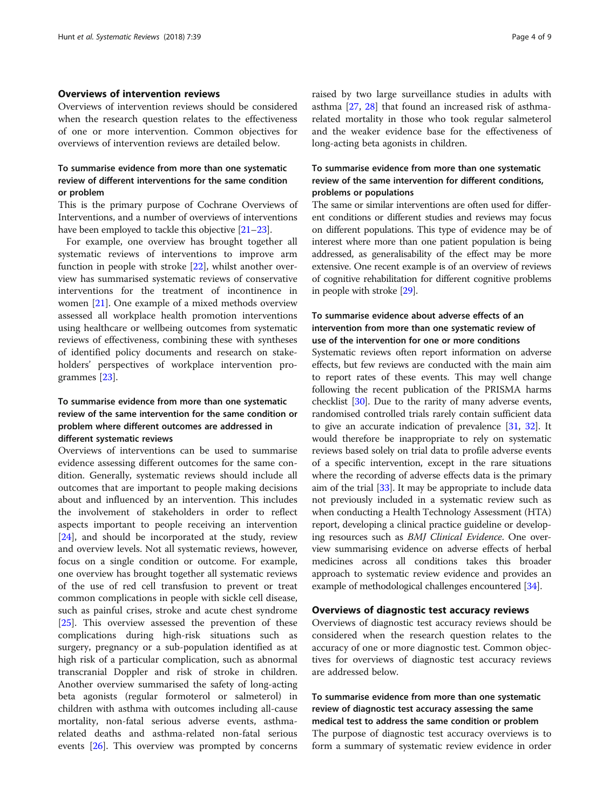#### Overviews of intervention reviews

Overviews of intervention reviews should be considered when the research question relates to the effectiveness of one or more intervention. Common objectives for overviews of intervention reviews are detailed below.

## To summarise evidence from more than one systematic review of different interventions for the same condition or problem

This is the primary purpose of Cochrane Overviews of Interventions, and a number of overviews of interventions have been employed to tackle this objective [\[21](#page-7-0)–[23\]](#page-7-0).

For example, one overview has brought together all systematic reviews of interventions to improve arm function in people with stroke [[22](#page-7-0)], whilst another overview has summarised systematic reviews of conservative interventions for the treatment of incontinence in women [[21\]](#page-7-0). One example of a mixed methods overview assessed all workplace health promotion interventions using healthcare or wellbeing outcomes from systematic reviews of effectiveness, combining these with syntheses of identified policy documents and research on stakeholders' perspectives of workplace intervention programmes [\[23\]](#page-7-0).

## To summarise evidence from more than one systematic review of the same intervention for the same condition or problem where different outcomes are addressed in different systematic reviews

Overviews of interventions can be used to summarise evidence assessing different outcomes for the same condition. Generally, systematic reviews should include all outcomes that are important to people making decisions about and influenced by an intervention. This includes the involvement of stakeholders in order to reflect aspects important to people receiving an intervention [[24\]](#page-7-0), and should be incorporated at the study, review and overview levels. Not all systematic reviews, however, focus on a single condition or outcome. For example, one overview has brought together all systematic reviews of the use of red cell transfusion to prevent or treat common complications in people with sickle cell disease, such as painful crises, stroke and acute chest syndrome [[25\]](#page-7-0). This overview assessed the prevention of these complications during high-risk situations such as surgery, pregnancy or a sub-population identified as at high risk of a particular complication, such as abnormal transcranial Doppler and risk of stroke in children. Another overview summarised the safety of long-acting beta agonists (regular formoterol or salmeterol) in children with asthma with outcomes including all-cause mortality, non-fatal serious adverse events, asthmarelated deaths and asthma-related non-fatal serious events [[26](#page-7-0)]. This overview was prompted by concerns

raised by two large surveillance studies in adults with asthma [[27,](#page-7-0) [28](#page-7-0)] that found an increased risk of asthmarelated mortality in those who took regular salmeterol and the weaker evidence base for the effectiveness of long-acting beta agonists in children.

## To summarise evidence from more than one systematic review of the same intervention for different conditions, problems or populations

The same or similar interventions are often used for different conditions or different studies and reviews may focus on different populations. This type of evidence may be of interest where more than one patient population is being addressed, as generalisability of the effect may be more extensive. One recent example is of an overview of reviews of cognitive rehabilitation for different cognitive problems in people with stroke [\[29\]](#page-7-0).

## To summarise evidence about adverse effects of an intervention from more than one systematic review of use of the intervention for one or more conditions

Systematic reviews often report information on adverse effects, but few reviews are conducted with the main aim to report rates of these events. This may well change following the recent publication of the PRISMA harms checklist [[30](#page-7-0)]. Due to the rarity of many adverse events, randomised controlled trials rarely contain sufficient data to give an accurate indication of prevalence [[31](#page-7-0), [32\]](#page-7-0). It would therefore be inappropriate to rely on systematic reviews based solely on trial data to profile adverse events of a specific intervention, except in the rare situations where the recording of adverse effects data is the primary aim of the trial [[33](#page-7-0)]. It may be appropriate to include data not previously included in a systematic review such as when conducting a Health Technology Assessment (HTA) report, developing a clinical practice guideline or developing resources such as BMJ Clinical Evidence. One overview summarising evidence on adverse effects of herbal medicines across all conditions takes this broader approach to systematic review evidence and provides an example of methodological challenges encountered [[34](#page-7-0)].

#### Overviews of diagnostic test accuracy reviews

Overviews of diagnostic test accuracy reviews should be considered when the research question relates to the accuracy of one or more diagnostic test. Common objectives for overviews of diagnostic test accuracy reviews are addressed below.

To summarise evidence from more than one systematic review of diagnostic test accuracy assessing the same medical test to address the same condition or problem The purpose of diagnostic test accuracy overviews is to form a summary of systematic review evidence in order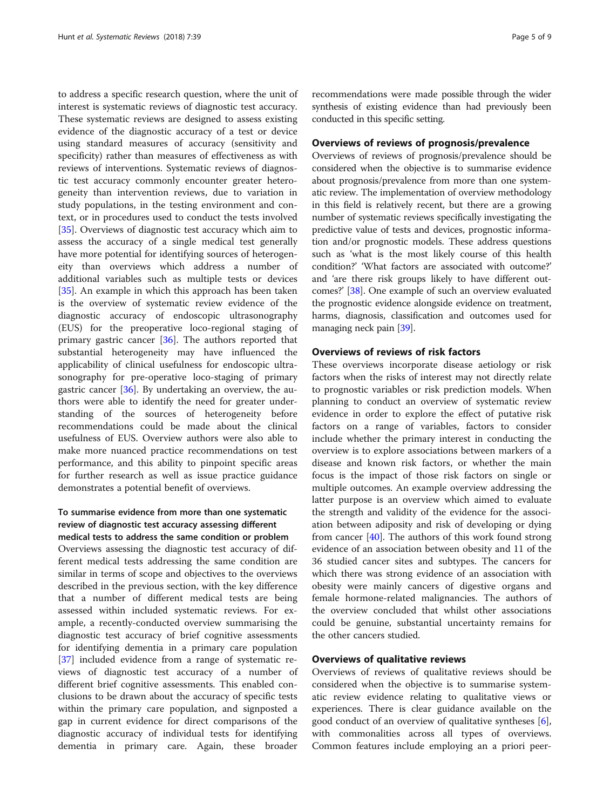to address a specific research question, where the unit of interest is systematic reviews of diagnostic test accuracy. These systematic reviews are designed to assess existing evidence of the diagnostic accuracy of a test or device using standard measures of accuracy (sensitivity and specificity) rather than measures of effectiveness as with reviews of interventions. Systematic reviews of diagnostic test accuracy commonly encounter greater heterogeneity than intervention reviews, due to variation in study populations, in the testing environment and context, or in procedures used to conduct the tests involved [[35\]](#page-7-0). Overviews of diagnostic test accuracy which aim to assess the accuracy of a single medical test generally have more potential for identifying sources of heterogeneity than overviews which address a number of additional variables such as multiple tests or devices [[35\]](#page-7-0). An example in which this approach has been taken is the overview of systematic review evidence of the diagnostic accuracy of endoscopic ultrasonography (EUS) for the preoperative loco-regional staging of primary gastric cancer [\[36\]](#page-7-0). The authors reported that substantial heterogeneity may have influenced the applicability of clinical usefulness for endoscopic ultrasonography for pre-operative loco-staging of primary gastric cancer [\[36](#page-7-0)]. By undertaking an overview, the authors were able to identify the need for greater understanding of the sources of heterogeneity before recommendations could be made about the clinical usefulness of EUS. Overview authors were also able to make more nuanced practice recommendations on test performance, and this ability to pinpoint specific areas for further research as well as issue practice guidance demonstrates a potential benefit of overviews.

## To summarise evidence from more than one systematic review of diagnostic test accuracy assessing different medical tests to address the same condition or problem

Overviews assessing the diagnostic test accuracy of different medical tests addressing the same condition are similar in terms of scope and objectives to the overviews described in the previous section, with the key difference that a number of different medical tests are being assessed within included systematic reviews. For example, a recently-conducted overview summarising the diagnostic test accuracy of brief cognitive assessments for identifying dementia in a primary care population [[37\]](#page-7-0) included evidence from a range of systematic reviews of diagnostic test accuracy of a number of different brief cognitive assessments. This enabled conclusions to be drawn about the accuracy of specific tests within the primary care population, and signposted a gap in current evidence for direct comparisons of the diagnostic accuracy of individual tests for identifying dementia in primary care. Again, these broader

recommendations were made possible through the wider synthesis of existing evidence than had previously been conducted in this specific setting.

## Overviews of reviews of prognosis/prevalence

Overviews of reviews of prognosis/prevalence should be considered when the objective is to summarise evidence about prognosis/prevalence from more than one systematic review. The implementation of overview methodology in this field is relatively recent, but there are a growing number of systematic reviews specifically investigating the predictive value of tests and devices, prognostic information and/or prognostic models. These address questions such as 'what is the most likely course of this health condition?' 'What factors are associated with outcome?' and 'are there risk groups likely to have different outcomes?' [\[38\]](#page-7-0). One example of such an overview evaluated the prognostic evidence alongside evidence on treatment, harms, diagnosis, classification and outcomes used for managing neck pain [[39\]](#page-8-0).

## Overviews of reviews of risk factors

These overviews incorporate disease aetiology or risk factors when the risks of interest may not directly relate to prognostic variables or risk prediction models. When planning to conduct an overview of systematic review evidence in order to explore the effect of putative risk factors on a range of variables, factors to consider include whether the primary interest in conducting the overview is to explore associations between markers of a disease and known risk factors, or whether the main focus is the impact of those risk factors on single or multiple outcomes. An example overview addressing the latter purpose is an overview which aimed to evaluate the strength and validity of the evidence for the association between adiposity and risk of developing or dying from cancer  $[40]$  $[40]$ . The authors of this work found strong evidence of an association between obesity and 11 of the 36 studied cancer sites and subtypes. The cancers for which there was strong evidence of an association with obesity were mainly cancers of digestive organs and female hormone-related malignancies. The authors of the overview concluded that whilst other associations could be genuine, substantial uncertainty remains for the other cancers studied.

## Overviews of qualitative reviews

Overviews of reviews of qualitative reviews should be considered when the objective is to summarise systematic review evidence relating to qualitative views or experiences. There is clear guidance available on the good conduct of an overview of qualitative syntheses [\[6](#page-7-0)], with commonalities across all types of overviews. Common features include employing an a priori peer-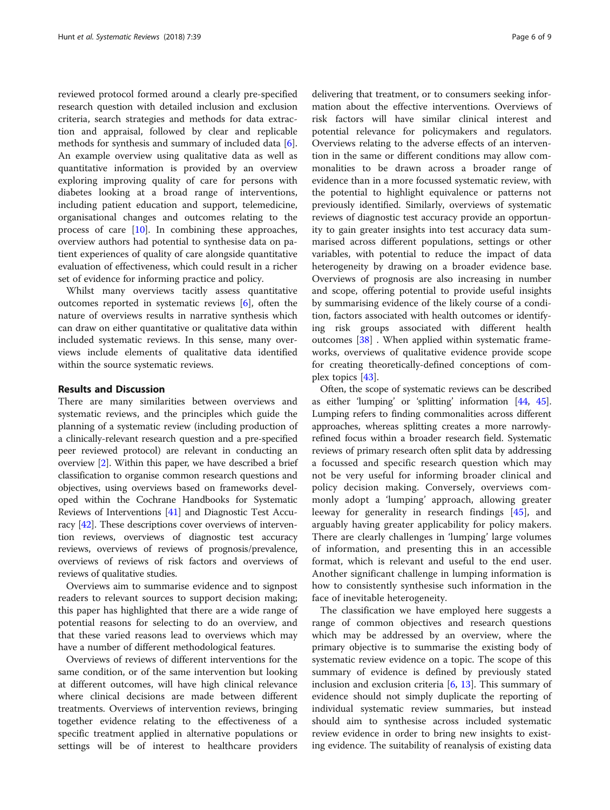reviewed protocol formed around a clearly pre-specified research question with detailed inclusion and exclusion criteria, search strategies and methods for data extraction and appraisal, followed by clear and replicable methods for synthesis and summary of included data [\[6](#page-7-0)]. An example overview using qualitative data as well as quantitative information is provided by an overview exploring improving quality of care for persons with diabetes looking at a broad range of interventions, including patient education and support, telemedicine, organisational changes and outcomes relating to the process of care [[10\]](#page-7-0). In combining these approaches, overview authors had potential to synthesise data on patient experiences of quality of care alongside quantitative evaluation of effectiveness, which could result in a richer set of evidence for informing practice and policy.

Whilst many overviews tacitly assess quantitative outcomes reported in systematic reviews [\[6](#page-7-0)], often the nature of overviews results in narrative synthesis which can draw on either quantitative or qualitative data within included systematic reviews. In this sense, many overviews include elements of qualitative data identified within the source systematic reviews.

#### Results and Discussion

There are many similarities between overviews and systematic reviews, and the principles which guide the planning of a systematic review (including production of a clinically-relevant research question and a pre-specified peer reviewed protocol) are relevant in conducting an overview [[2](#page-7-0)]. Within this paper, we have described a brief classification to organise common research questions and objectives, using overviews based on frameworks developed within the Cochrane Handbooks for Systematic Reviews of Interventions [\[41\]](#page-8-0) and Diagnostic Test Accuracy [\[42](#page-8-0)]. These descriptions cover overviews of intervention reviews, overviews of diagnostic test accuracy reviews, overviews of reviews of prognosis/prevalence, overviews of reviews of risk factors and overviews of reviews of qualitative studies.

Overviews aim to summarise evidence and to signpost readers to relevant sources to support decision making; this paper has highlighted that there are a wide range of potential reasons for selecting to do an overview, and that these varied reasons lead to overviews which may have a number of different methodological features.

Overviews of reviews of different interventions for the same condition, or of the same intervention but looking at different outcomes, will have high clinical relevance where clinical decisions are made between different treatments. Overviews of intervention reviews, bringing together evidence relating to the effectiveness of a specific treatment applied in alternative populations or settings will be of interest to healthcare providers

delivering that treatment, or to consumers seeking information about the effective interventions. Overviews of risk factors will have similar clinical interest and potential relevance for policymakers and regulators. Overviews relating to the adverse effects of an intervention in the same or different conditions may allow commonalities to be drawn across a broader range of evidence than in a more focussed systematic review, with the potential to highlight equivalence or patterns not previously identified. Similarly, overviews of systematic reviews of diagnostic test accuracy provide an opportunity to gain greater insights into test accuracy data summarised across different populations, settings or other variables, with potential to reduce the impact of data heterogeneity by drawing on a broader evidence base. Overviews of prognosis are also increasing in number and scope, offering potential to provide useful insights by summarising evidence of the likely course of a condition, factors associated with health outcomes or identifying risk groups associated with different health outcomes [\[38\]](#page-7-0) . When applied within systematic frameworks, overviews of qualitative evidence provide scope for creating theoretically-defined conceptions of complex topics [[43\]](#page-8-0).

Often, the scope of systematic reviews can be described as either 'lumping' or 'splitting' information [[44](#page-8-0), [45](#page-8-0)]. Lumping refers to finding commonalities across different approaches, whereas splitting creates a more narrowlyrefined focus within a broader research field. Systematic reviews of primary research often split data by addressing a focussed and specific research question which may not be very useful for informing broader clinical and policy decision making. Conversely, overviews commonly adopt a 'lumping' approach, allowing greater leeway for generality in research findings [[45\]](#page-8-0), and arguably having greater applicability for policy makers. There are clearly challenges in 'lumping' large volumes of information, and presenting this in an accessible format, which is relevant and useful to the end user. Another significant challenge in lumping information is how to consistently synthesise such information in the face of inevitable heterogeneity.

The classification we have employed here suggests a range of common objectives and research questions which may be addressed by an overview, where the primary objective is to summarise the existing body of systematic review evidence on a topic. The scope of this summary of evidence is defined by previously stated inclusion and exclusion criteria [[6,](#page-7-0) [13\]](#page-7-0). This summary of evidence should not simply duplicate the reporting of individual systematic review summaries, but instead should aim to synthesise across included systematic review evidence in order to bring new insights to existing evidence. The suitability of reanalysis of existing data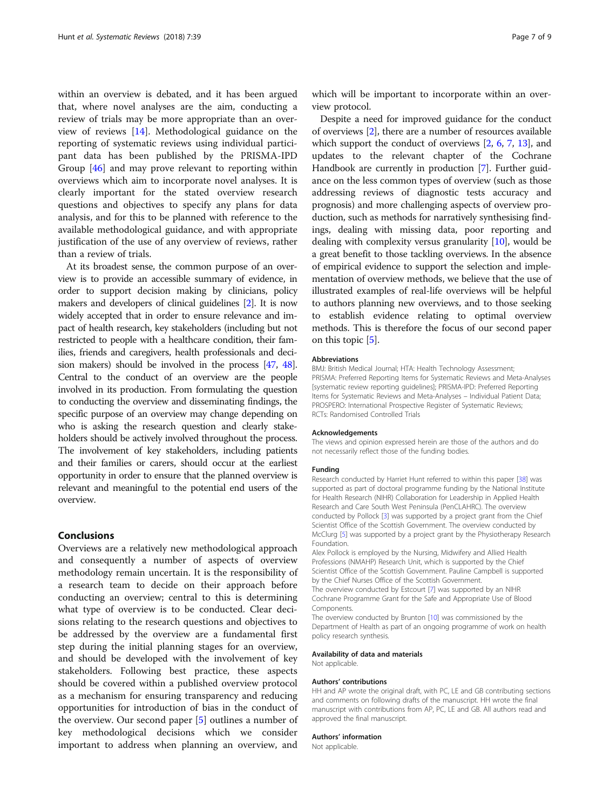within an overview is debated, and it has been argued that, where novel analyses are the aim, conducting a review of trials may be more appropriate than an overview of reviews [[14](#page-7-0)]. Methodological guidance on the reporting of systematic reviews using individual participant data has been published by the PRISMA-IPD Group [\[46](#page-8-0)] and may prove relevant to reporting within overviews which aim to incorporate novel analyses. It is clearly important for the stated overview research questions and objectives to specify any plans for data analysis, and for this to be planned with reference to the available methodological guidance, and with appropriate justification of the use of any overview of reviews, rather than a review of trials.

At its broadest sense, the common purpose of an overview is to provide an accessible summary of evidence, in order to support decision making by clinicians, policy makers and developers of clinical guidelines [\[2](#page-7-0)]. It is now widely accepted that in order to ensure relevance and impact of health research, key stakeholders (including but not restricted to people with a healthcare condition, their families, friends and caregivers, health professionals and decision makers) should be involved in the process [\[47,](#page-8-0) [48](#page-8-0)]. Central to the conduct of an overview are the people involved in its production. From formulating the question to conducting the overview and disseminating findings, the specific purpose of an overview may change depending on who is asking the research question and clearly stakeholders should be actively involved throughout the process. The involvement of key stakeholders, including patients and their families or carers, should occur at the earliest opportunity in order to ensure that the planned overview is relevant and meaningful to the potential end users of the overview.

## Conclusions

Overviews are a relatively new methodological approach and consequently a number of aspects of overview methodology remain uncertain. It is the responsibility of a research team to decide on their approach before conducting an overview; central to this is determining what type of overview is to be conducted. Clear decisions relating to the research questions and objectives to be addressed by the overview are a fundamental first step during the initial planning stages for an overview, and should be developed with the involvement of key stakeholders. Following best practice, these aspects should be covered within a published overview protocol as a mechanism for ensuring transparency and reducing opportunities for introduction of bias in the conduct of the overview. Our second paper [[5\]](#page-7-0) outlines a number of key methodological decisions which we consider important to address when planning an overview, and

which will be important to incorporate within an overview protocol.

Despite a need for improved guidance for the conduct of overviews [[2](#page-7-0)], there are a number of resources available which support the conduct of overviews  $[2, 6, 7, 13]$  $[2, 6, 7, 13]$  $[2, 6, 7, 13]$  $[2, 6, 7, 13]$  $[2, 6, 7, 13]$  $[2, 6, 7, 13]$  $[2, 6, 7, 13]$  $[2, 6, 7, 13]$  $[2, 6, 7, 13]$ , and updates to the relevant chapter of the Cochrane Handbook are currently in production [[7\]](#page-7-0). Further guidance on the less common types of overview (such as those addressing reviews of diagnostic tests accuracy and prognosis) and more challenging aspects of overview production, such as methods for narratively synthesising findings, dealing with missing data, poor reporting and dealing with complexity versus granularity [\[10\]](#page-7-0), would be a great benefit to those tackling overviews. In the absence of empirical evidence to support the selection and implementation of overview methods, we believe that the use of illustrated examples of real-life overviews will be helpful to authors planning new overviews, and to those seeking to establish evidence relating to optimal overview methods. This is therefore the focus of our second paper on this topic [[5](#page-7-0)].

#### Abbreviations

BMJ: British Medical Journal; HTA: Health Technology Assessment; PRISMA: Preferred Reporting Items for Systematic Reviews and Meta-Analyses [systematic review reporting guidelines]; PRISMA-IPD: Preferred Reporting Items for Systematic Reviews and Meta-Analyses – Individual Patient Data; PROSPERO: International Prospective Register of Systematic Reviews; RCTs: Randomised Controlled Trials

#### Acknowledgements

The views and opinion expressed herein are those of the authors and do not necessarily reflect those of the funding bodies.

#### Funding

Research conducted by Harriet Hunt referred to within this paper [\[38\]](#page-7-0) was supported as part of doctoral programme funding by the National Institute for Health Research (NIHR) Collaboration for Leadership in Applied Health Research and Care South West Peninsula (PenCLAHRC). The overview conducted by Pollock [[3](#page-7-0)] was supported by a project grant from the Chief Scientist Office of the Scottish Government. The overview conducted by McClurg [[5\]](#page-7-0) was supported by a project grant by the Physiotherapy Research Foundation.

Alex Pollock is employed by the Nursing, Midwifery and Allied Health Professions (NMAHP) Research Unit, which is supported by the Chief Scientist Office of the Scottish Government. Pauline Campbell is supported by the Chief Nurses Office of the Scottish Government. The overview conducted by Estcourt [[7](#page-7-0)] was supported by an NIHR Cochrane Programme Grant for the Safe and Appropriate Use of Blood Components.

The overview conducted by Brunton [[10](#page-7-0)] was commissioned by the Department of Health as part of an ongoing programme of work on health policy research synthesis.

#### Availability of data and materials

Not applicable.

#### Authors' contributions

HH and AP wrote the original draft, with PC, LE and GB contributing sections and comments on following drafts of the manuscript. HH wrote the final manuscript with contributions from AP, PC, LE and GB. All authors read and approved the final manuscript.

#### Authors' information

Not applicable.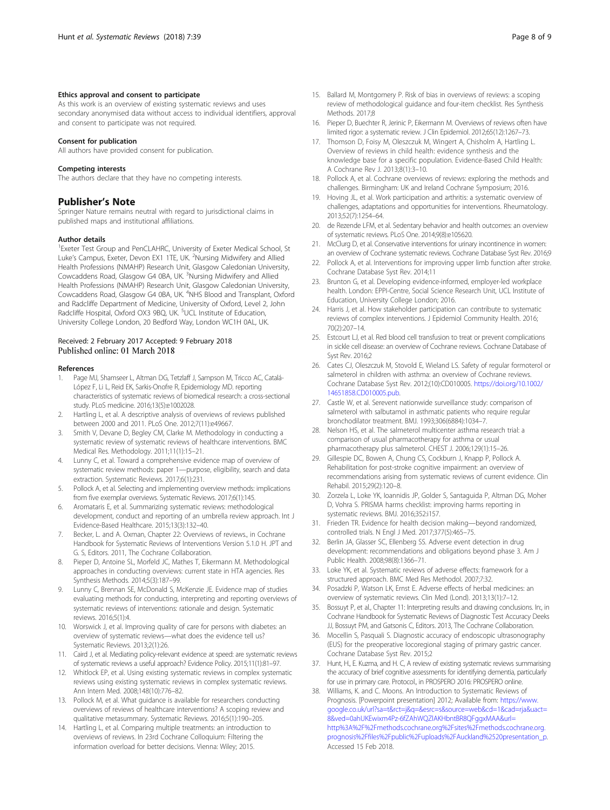#### <span id="page-7-0"></span>Ethics approval and consent to participate

As this work is an overview of existing systematic reviews and uses secondary anonymised data without access to individual identifiers, approval and consent to participate was not required.

#### Consent for publication

All authors have provided consent for publication.

#### Competing interests

The authors declare that they have no competing interests.

#### Publisher's Note

Springer Nature remains neutral with regard to jurisdictional claims in published maps and institutional affiliations.

#### Author details

<sup>1</sup> Exeter Test Group and PenCLAHRC, University of Exeter Medical School, St Luke's Campus, Exeter, Devon EX1 1TE, UK. <sup>2</sup>Nursing Midwifery and Allied Health Professions (NMAHP) Research Unit, Glasgow Caledonian University, Cowcaddens Road, Glasgow G4 0BA, UK. <sup>3</sup>Nursing Midwifery and Allied Health Professions (NMAHP) Research Unit, Glasgow Caledonian University, Cowcaddens Road, Glasgow G4 0BA, UK. <sup>4</sup>NHS Blood and Transplant, Oxford and Radcliffe Department of Medicine, University of Oxford, Level 2, John Radcliffe Hospital, Oxford OX3 9BQ, UK. <sup>5</sup>UCL Institute of Education, University College London, 20 Bedford Way, London WC1H 0AL, UK.

#### Received: 2 February 2017 Accepted: 9 February 2018 Published online: 01 March 2018

#### References

- Page MJ, Shamseer L, Altman DG, Tetzlaff J, Sampson M, Tricco AC, Catalá-López F, Li L, Reid EK, Sarkis-Onofre R, Epidemiology MD. reporting characteristics of systematic reviews of biomedical research: a cross-sectional study. PLoS medicine. 2016;13(5):e1002028.
- 2. Hartling L, et al. A descriptive analysis of overviews of reviews published between 2000 and 2011. PLoS One. 2012;7(11):e49667.
- 3. Smith V, Devane D, Begley CM, Clarke M. Methodology in conducting a systematic review of systematic reviews of healthcare interventions. BMC Medical Res. Methodology. 2011;11(1):15–21.
- 4. Lunny C, et al. Toward a comprehensive evidence map of overview of systematic review methods: paper 1—purpose, eligibility, search and data extraction. Systematic Reviews. 2017;6(1):231.
- 5. Pollock A, et al. Selecting and implementing overview methods: implications from five exemplar overviews. Systematic Reviews. 2017;6(1):145.
- 6. Aromataris E, et al. Summarizing systematic reviews: methodological development, conduct and reporting of an umbrella review approach. Int J Evidence-Based Healthcare. 2015;13(3):132–40.
- 7. Becker, L. and A. Oxman, Chapter 22: Overviews of reviews., in Cochrane Handbook for Systematic Reviews of Interventions Version 5.1.0 H. JPT and G. S, Editors. 2011, The Cochrane Collaboration.
- 8. Pieper D, Antoine SL, Morfeld JC, Mathes T, Eikermann M. Methodological approaches in conducting overviews: current state in HTA agencies. Res Synthesis Methods. 2014;5(3):187–99.
- 9. Lunny C, Brennan SE, McDonald S, McKenzie JE. Evidence map of studies evaluating methods for conducting, interpreting and reporting overviews of systematic reviews of interventions: rationale and design. Systematic reviews. 2016;5(1):4.
- 10. Worswick J, et al. Improving quality of care for persons with diabetes: an overview of systematic reviews—what does the evidence tell us? Systematic Reviews. 2013;2(1):26.
- 11. Caird J, et al. Mediating policy-relevant evidence at speed: are systematic reviews of systematic reviews a useful approach? Evidence Policy. 2015;11(1):81–97.
- 12. Whitlock EP, et al. Using existing systematic reviews in complex systematic reviews using existing systematic reviews in complex systematic reviews. Ann Intern Med. 2008;148(10):776–82.
- 13. Pollock M, et al. What guidance is available for researchers conducting overviews of reviews of healthcare interventions? A scoping review and qualitative metasummary. Systematic Reviews. 2016;5(1):190–205.
- 14. Hartling L, et al. Comparing multiple treatments: an introduction to overviews of reviews. In 23rd Cochrane Colloquium: Filtering the information overload for better decisions. Vienna: Wiley; 2015.
- 15. Ballard M, Montgomery P. Risk of bias in overviews of reviews: a scoping review of methodological guidance and four-item checklist. Res Synthesis Methods. 2017;8
- 16. Pieper D, Buechter R, Jerinic P, Eikermann M. Overviews of reviews often have limited rigor: a systematic review. J Clin Epidemiol. 2012;65(12):1267–73.
- 17. Thomson D, Foisy M, Oleszczuk M, Wingert A, Chisholm A, Hartling L. Overview of reviews in child health: evidence synthesis and the knowledge base for a specific population. Evidence-Based Child Health: A Cochrane Rev J. 2013;8(1):3–10.
- 18. Pollock A, et al. Cochrane overviews of reviews: exploring the methods and challenges. Birmingham: UK and Ireland Cochrane Symposium; 2016.
- 19. Hoving JL, et al. Work participation and arthritis: a systematic overview of challenges, adaptations and opportunities for interventions. Rheumatology. 2013;52(7):1254–64.
- 20. de Rezende LFM, et al. Sedentary behavior and health outcomes: an overview of systematic reviews. PLoS One. 2014;9(8):e105620.
- 21. McClurg D, et al. Conservative interventions for urinary incontinence in women: an overview of Cochrane systematic reviews. Cochrane Database Syst Rev. 2016;9
- 22. Pollock A, et al. Interventions for improving upper limb function after stroke. Cochrane Database Syst Rev. 2014;11
- 23. Brunton G, et al. Developing evidence-informed, employer-led workplace health. London: EPPI-Centre, Social Science Research Unit, UCL Institute of Education, University College London; 2016.
- 24. Harris J, et al. How stakeholder participation can contribute to systematic reviews of complex interventions. J Epidemiol Community Health. 2016; 70(2):207–14.
- 25. Estcourt LJ, et al. Red blood cell transfusion to treat or prevent complications in sickle cell disease: an overview of Cochrane reviews. Cochrane Database of Syst Rev. 2016;2
- 26. Cates CJ, Oleszczuk M, Stovold E, Wieland LS. Safety of regular formoterol or salmeterol in children with asthma: an overview of Cochrane reviews. Cochrane Database Syst Rev. 2012;(10):CD010005. [https://doi.org/10.1002/](https://doi.org/10.1002/14651858.CD010005.pub) [14651858.CD010005.pub.](https://doi.org/10.1002/14651858.CD010005.pub)
- 27. Castle W, et al. Serevent nationwide surveillance study: comparison of salmeterol with salbutamol in asthmatic patients who require regular bronchodilator treatment. BMJ. 1993;306(6884):1034–7.
- 28. Nelson HS, et al. The salmeterol multicenter asthma research trial: a comparison of usual pharmacotherapy for asthma or usual pharmacotherapy plus salmeterol. CHEST J. 2006;129(1):15–26.
- 29. Gillespie DC, Bowen A, Chung CS, Cockburn J, Knapp P, Pollock A. Rehabilitation for post-stroke cognitive impairment: an overview of recommendations arising from systematic reviews of current evidence. Clin Rehabil. 2015;29(2):120–8.
- 30. Zorzela L, Loke YK, Ioannidis JP, Golder S, Santaguida P, Altman DG, Moher D, Vohra S. PRISMA harms checklist: improving harms reporting in systematic reviews. BMJ. 2016;352:i157.
- 31. Frieden TR. Evidence for health decision making—beyond randomized, controlled trials. N Engl J Med. 2017;377(5):465–75.
- 32. Berlin JA, Glasser SC, Ellenberg SS. Adverse event detection in drug development: recommendations and obligations beyond phase 3. Am J Public Health. 2008;98(8):1366–71.
- 33. Loke YK, et al. Systematic reviews of adverse effects: framework for a structured approach. BMC Med Res Methodol. 2007;7:32.
- Posadzki P, Watson LK, Ernst E. Adverse effects of herbal medicines: an overview of systematic reviews. Clin Med (Lond). 2013;13(1):7–12.
- 35. Bossuyt P, et al., Chapter 11: Interpreting results and drawing conclusions. In:, in Cochrane Handbook for Systematic Reviews of Diagnostic Test Accuracy Deeks JJ, Bossuyt PM, and Gatsonis C, Editors. 2013, The Cochrane Collaboration.
- 36. Mocellin S, Pasquali S. Diagnostic accuracy of endoscopic ultrasonography (EUS) for the preoperative locoregional staging of primary gastric cancer. Cochrane Database Syst Rev. 2015;2
- 37. Hunt, H., E. Kuzma, and H. C, A review of existing systematic reviews summarising the accuracy of brief cognitive assessments for identifying dementia, particularly for use in primary care. Protocol., in PROSPERO 2016: PROSPERO online.
- 38. Williams, K. and C. Moons. An Introduction to Systematic Reviews of Prognosis. [Powerpoint presentation] 2012; Available from: [https://www.](https://www.google.co.uk/url?sa=t&rct=j&q=&esrc=s&source=web&cd=1&cad=rja&uact=8&ved=0ahUKEwixm4Pz-6fZAhWQZlAKHbntBR8QFggxMAA&url=http%3A%2F%2Fmethods.cochrane.org%2Fsites%2Fmethods.cochrane.org.prognosis%2Ffiles%2Fpublic%2Fuploads%2FAuckland%2520presentation_p) [google.co.uk/url?sa=t&rct=j&q=&esrc=s&source=web&cd=1&cad=rja&uact=](https://www.google.co.uk/url?sa=t&rct=j&q=&esrc=s&source=web&cd=1&cad=rja&uact=8&ved=0ahUKEwixm4Pz-6fZAhWQZlAKHbntBR8QFggxMAA&url=http%3A%2F%2Fmethods.cochrane.org%2Fsites%2Fmethods.cochrane.org.prognosis%2Ffiles%2Fpublic%2Fuploads%2FAuckland%2520presentation_p) [8&ved=0ahUKEwixm4Pz-6fZAhWQZlAKHbntBR8QFggxMAA&url=](https://www.google.co.uk/url?sa=t&rct=j&q=&esrc=s&source=web&cd=1&cad=rja&uact=8&ved=0ahUKEwixm4Pz-6fZAhWQZlAKHbntBR8QFggxMAA&url=http%3A%2F%2Fmethods.cochrane.org%2Fsites%2Fmethods.cochrane.org.prognosis%2Ffiles%2Fpublic%2Fuploads%2FAuckland%2520presentation_p) [http%3A%2F%2Fmethods.cochrane.org%2Fsites%2Fmethods.cochrane.org.](https://www.google.co.uk/url?sa=t&rct=j&q=&esrc=s&source=web&cd=1&cad=rja&uact=8&ved=0ahUKEwixm4Pz-6fZAhWQZlAKHbntBR8QFggxMAA&url=http%3A%2F%2Fmethods.cochrane.org%2Fsites%2Fmethods.cochrane.org.prognosis%2Ffiles%2Fpublic%2Fuploads%2FAuckland%2520presentation_p) [prognosis%2Ffiles%2Fpublic%2Fuploads%2FAuckland%2520presentation\\_p](https://www.google.co.uk/url?sa=t&rct=j&q=&esrc=s&source=web&cd=1&cad=rja&uact=8&ved=0ahUKEwixm4Pz-6fZAhWQZlAKHbntBR8QFggxMAA&url=http%3A%2F%2Fmethods.cochrane.org%2Fsites%2Fmethods.cochrane.org.prognosis%2Ffiles%2Fpublic%2Fuploads%2FAuckland%2520presentation_p). Accessed 15 Feb 2018.